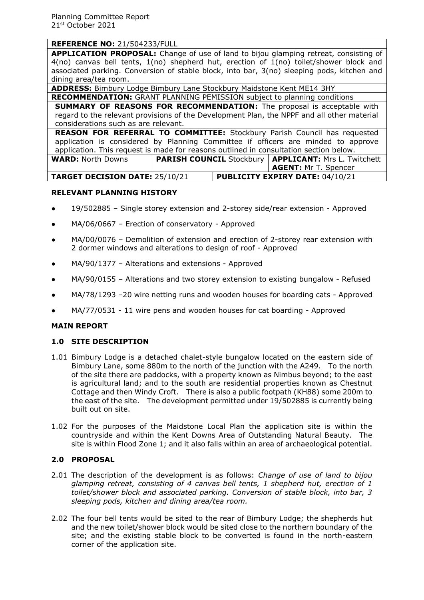**APPLICATION PROPOSAL:** Change of use of land to bijou glamping retreat, consisting of 4(no) canvas bell tents, 1(no) shepherd hut, erection of 1(no) toilet/shower block and associated parking. Conversion of stable block, into bar, 3(no) sleeping pods, kitchen and dining area/tea room.

**ADDRESS:** Bimbury Lodge Bimbury Lane Stockbury Maidstone Kent ME14 3HY

**RECOMMENDATION:** GRANT PLANNING PEMISSION subject to planning conditions **SUMMARY OF REASONS FOR RECOMMENDATION:** The proposal is acceptable with regard to the relevant provisions of the Development Plan, the NPPF and all other material considerations such as are relevant.

**REASON FOR REFERRAL TO COMMITTEE:** Stockbury Parish Council has requested application is considered by Planning Committee if officers are minded to approve application. This request is made for reasons outlined in consultation section below.

| <b>WARD:</b> North Downs              |  |                                        | <b>PARISH COUNCIL</b> Stockbury   <b>APPLICANT:</b> Mrs L. Twitchett |
|---------------------------------------|--|----------------------------------------|----------------------------------------------------------------------|
|                                       |  |                                        | <b>AGENT: Mr T. Spencer</b>                                          |
| <b>TARGET DECISION DATE: 25/10/21</b> |  | <b>PUBLICITY EXPIRY DATE: 04/10/21</b> |                                                                      |

# **RELEVANT PLANNING HISTORY**

- 19/502885 Single storey extension and 2-storey side/rear extension Approved
- $MA/06/0667$  Erection of conservatory Approved
- MA/00/0076 Demolition of extension and erection of 2-storey rear extension with 2 dormer windows and alterations to design of roof - Approved
- MA/90/1377 Alterations and extensions Approved
- $MA/90/0155$  Alterations and two storey extension to existing bungalow Refused
- MA/78/1293 –20 wire netting runs and wooden houses for boarding cats Approved
- MA/77/0531 11 wire pens and wooden houses for cat boarding Approved

## **MAIN REPORT**

# **1.0 SITE DESCRIPTION**

- 1.01 Bimbury Lodge is a detached chalet-style bungalow located on the eastern side of Bimbury Lane, some 880m to the north of the junction with the A249. To the north of the site there are paddocks, with a property known as Nimbus beyond; to the east is agricultural land; and to the south are residential properties known as Chestnut Cottage and then Windy Croft. There is also a public footpath (KH88) some 200m to the east of the site. The development permitted under 19/502885 is currently being built out on site.
- 1.02 For the purposes of the Maidstone Local Plan the application site is within the countryside and within the Kent Downs Area of Outstanding Natural Beauty. The site is within Flood Zone 1; and it also falls within an area of archaeological potential.

## **2.0 PROPOSAL**

- 2.01 The description of the development is as follows: *Change of use of land to bijou glamping retreat, consisting of 4 canvas bell tents, 1 shepherd hut, erection of 1 toilet/shower block and associated parking. Conversion of stable block, into bar, 3 sleeping pods, kitchen and dining area/tea room.*
- 2.02 The four bell tents would be sited to the rear of Bimbury Lodge; the shepherds hut and the new toilet/shower block would be sited close to the northern boundary of the site; and the existing stable block to be converted is found in the north-eastern corner of the application site.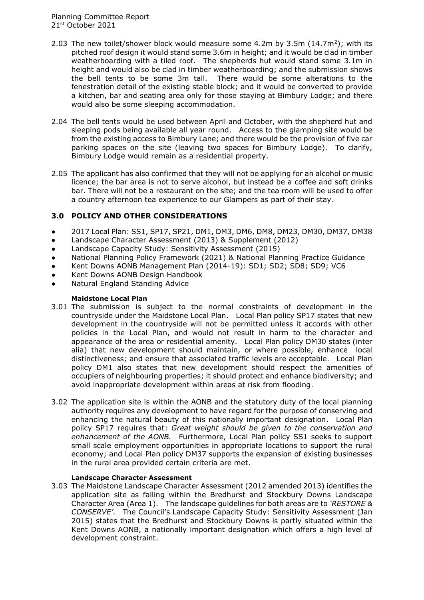- 2.03 The new toilet/shower block would measure some  $4.2m$  by  $3.5m$   $(14.7m^2)$ ; with its pitched roof design it would stand some 3.6m in height; and it would be clad in timber weatherboarding with a tiled roof. The shepherds hut would stand some 3.1m in height and would also be clad in timber weatherboarding; and the submission shows the bell tents to be some 3m tall. There would be some alterations to the fenestration detail of the existing stable block; and it would be converted to provide a kitchen, bar and seating area only for those staying at Bimbury Lodge; and there would also be some sleeping accommodation.
- 2.04 The bell tents would be used between April and October, with the shepherd hut and sleeping pods being available all year round. Access to the glamping site would be from the existing access to Bimbury Lane; and there would be the provision of five car parking spaces on the site (leaving two spaces for Bimbury Lodge). To clarify, Bimbury Lodge would remain as a residential property.
- 2.05 The applicant has also confirmed that they will not be applying for an alcohol or music licence; the bar area is not to serve alcohol, but instead be a coffee and soft drinks bar. There will not be a restaurant on the site; and the tea room will be used to offer a country afternoon tea experience to our Glampers as part of their stay.

## **3.0 POLICY AND OTHER CONSIDERATIONS**

- 2017 Local Plan: SS1, SP17, SP21, DM1, DM3, DM6, DM8, DM23, DM30, DM37, DM38
- Landscape Character Assessment (2013) & Supplement (2012)
- Landscape Capacity Study: Sensitivity Assessment (2015)
- National Planning Policy Framework (2021) & National Planning Practice Guidance
- Kent Downs AONB Management Plan (2014-19): SD1; SD2; SD8; SD9; VC6
- Kent Downs AONB Design Handbook
- **Natural England Standing Advice**

#### **Maidstone Local Plan**

- 3.01 The submission is subject to the normal constraints of development in the countryside under the Maidstone Local Plan. Local Plan policy SP17 states that new development in the countryside will not be permitted unless it accords with other policies in the Local Plan, and would not result in harm to the character and appearance of the area or residential amenity. Local Plan policy DM30 states (inter alia) that new development should maintain, or where possible, enhance local distinctiveness; and ensure that associated traffic levels are acceptable. Local Plan policy DM1 also states that new development should respect the amenities of occupiers of neighbouring properties; it should protect and enhance biodiversity; and avoid inappropriate development within areas at risk from flooding.
- 3.02 The application site is within the AONB and the statutory duty of the local planning authority requires any development to have regard for the purpose of conserving and enhancing the natural beauty of this nationally important designation. Local Plan policy SP17 requires that: *Great weight should be given to the conservation and enhancement of the AONB.* Furthermore, Local Plan policy SS1 seeks to support small scale employment opportunities in appropriate locations to support the rural economy; and Local Plan policy DM37 supports the expansion of existing businesses in the rural area provided certain criteria are met.

## **Landscape Character Assessment**

3.03 The Maidstone Landscape Character Assessment (2012 amended 2013) identifies the application site as falling within the Bredhurst and Stockbury Downs Landscape Character Area (Area 1). The landscape guidelines for both areas are to *'RESTORE & CONSERVE'*. The Council's Landscape Capacity Study: Sensitivity Assessment (Jan 2015) states that the Bredhurst and Stockbury Downs is partly situated within the Kent Downs AONB, a nationally important designation which offers a high level of development constraint.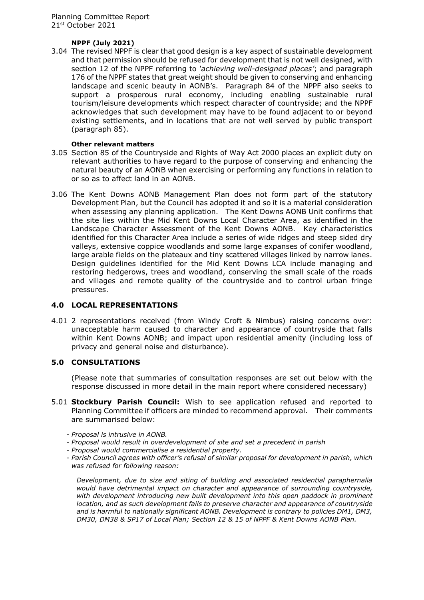## **NPPF (July 2021)**

3.04 The revised NPPF is clear that good design is a key aspect of sustainable development and that permission should be refused for development that is not well designed, with section 12 of the NPPF referring to *'achieving well-designed places'*; and paragraph 176 of the NPPF states that great weight should be given to conserving and enhancing landscape and scenic beauty in AONB's. Paragraph 84 of the NPPF also seeks to support a prosperous rural economy, including enabling sustainable rural tourism/leisure developments which respect character of countryside; and the NPPF acknowledges that such development may have to be found adjacent to or beyond existing settlements, and in locations that are not well served by public transport (paragraph 85).

#### **Other relevant matters**

- 3.05 Section 85 of the Countryside and Rights of Way Act 2000 places an explicit duty on relevant authorities to have regard to the purpose of conserving and enhancing the natural beauty of an AONB when exercising or performing any functions in relation to or so as to affect land in an AONB.
- 3.06 The Kent Downs AONB Management Plan does not form part of the statutory Development Plan, but the Council has adopted it and so it is a material consideration when assessing any planning application. The Kent Downs AONB Unit confirms that the site lies within the Mid Kent Downs Local Character Area, as identified in the Landscape Character Assessment of the Kent Downs AONB. Key characteristics identified for this Character Area include a series of wide ridges and steep sided dry valleys, extensive coppice woodlands and some large expanses of conifer woodland, large arable fields on the plateaux and tiny scattered villages linked by narrow lanes. Design guidelines identified for the Mid Kent Downs LCA include managing and restoring hedgerows, trees and woodland, conserving the small scale of the roads and villages and remote quality of the countryside and to control urban fringe pressures.

## **4.0 LOCAL REPRESENTATIONS**

4.01 2 representations received (from Windy Croft & Nimbus) raising concerns over: unacceptable harm caused to character and appearance of countryside that falls within Kent Downs AONB; and impact upon residential amenity (including loss of privacy and general noise and disturbance).

## **5.0 CONSULTATIONS**

(Please note that summaries of consultation responses are set out below with the response discussed in more detail in the main report where considered necessary)

- 5.01 **Stockbury Parish Council:** Wish to see application refused and reported to Planning Committee if officers are minded to recommend approval. Their comments are summarised below:
	- *Proposal is intrusive in AONB.*
	- *Proposal would result in overdevelopment of site and set a precedent in parish*
	- *Proposal would commercialise a residential property.*
	- *Parish Council agrees with officer's refusal of similar proposal for development in parish, which was refused for following reason:*

*Development, due to size and siting of building and associated residential paraphernalia would have detrimental impact on character and appearance of surrounding countryside,*  with development introducing new built development into this open paddock in prominent *location, and as such development fails to preserve character and appearance of countryside and is harmful to nationally significant AONB. Development is contrary to policies DM1, DM3, DM30, DM38 & SP17 of Local Plan; Section 12 & 15 of NPPF & Kent Downs AONB Plan.*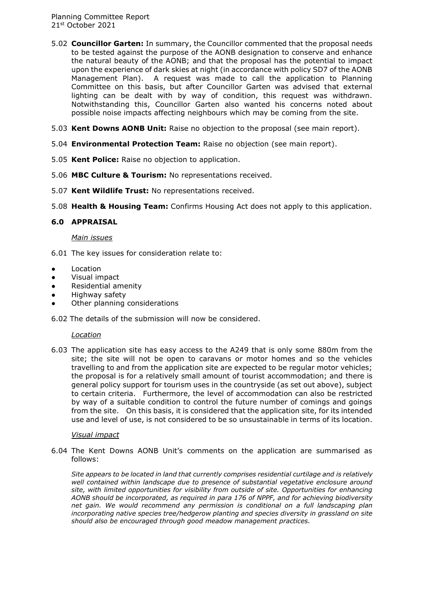- 5.02 **Councillor Garten:** In summary, the Councillor commented that the proposal needs to be tested against the purpose of the AONB designation to conserve and enhance the natural beauty of the AONB; and that the proposal has the potential to impact upon the experience of dark skies at night (in accordance with policy SD7 of the AONB Management Plan). A request was made to call the application to Planning Committee on this basis, but after Councillor Garten was advised that external lighting can be dealt with by way of condition, this request was withdrawn. Notwithstanding this, Councillor Garten also wanted his concerns noted about possible noise impacts affecting neighbours which may be coming from the site.
- 5.03 **Kent Downs AONB Unit:** Raise no objection to the proposal (see main report).
- 5.04 **Environmental Protection Team:** Raise no objection (see main report).
- 5.05 **Kent Police:** Raise no objection to application.
- 5.06 **MBC Culture & Tourism:** No representations received.
- 5.07 **Kent Wildlife Trust:** No representations received.
- 5.08 **Health & Housing Team:** Confirms Housing Act does not apply to this application.

## **6.0 APPRAISAL**

## *Main issues*

6.01 The key issues for consideration relate to:

- **Location**
- Visual impact
- Residential amenity
- Highway safety
- Other planning considerations

6.02 The details of the submission will now be considered.

## *Location*

6.03 The application site has easy access to the A249 that is only some 880m from the site; the site will not be open to caravans or motor homes and so the vehicles travelling to and from the application site are expected to be regular motor vehicles; the proposal is for a relatively small amount of tourist accommodation; and there is general policy support for tourism uses in the countryside (as set out above), subject to certain criteria. Furthermore, the level of accommodation can also be restricted by way of a suitable condition to control the future number of comings and goings from the site. On this basis, it is considered that the application site, for its intended use and level of use, is not considered to be so unsustainable in terms of its location.

## *Visual impact*

6.04 The Kent Downs AONB Unit's comments on the application are summarised as follows:

*Site appears to be located in land that currently comprises residential curtilage and is relatively well contained within landscape due to presence of substantial vegetative enclosure around site, with limited opportunities for visibility from outside of site. Opportunities for enhancing AONB should be incorporated, as required in para 176 of NPPF, and for achieving biodiversity net gain. We would recommend any permission is conditional on a full landscaping plan incorporating native species tree/hedgerow planting and species diversity in grassland on site should also be encouraged through good meadow management practices.*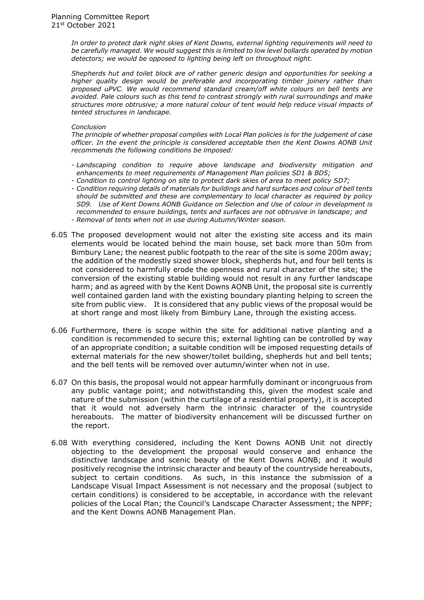*In order to protect dark night skies of Kent Downs, external lighting requirements will need to be carefully managed. We would suggest this is limited to low level bollards operated by motion detectors; we would be opposed to lighting being left on throughout night.* 

*Shepherds hut and toilet block are of rather generic design and opportunities for seeking a higher quality design would be preferable and incorporating timber joinery rather than proposed uPVC. We would recommend standard cream/off white colours on bell tents are avoided. Pale colours such as this tend to contrast strongly with rural surroundings and make structures more obtrusive; a more natural colour of tent would help reduce visual impacts of tented structures in landscape.* 

#### *Conclusion*

*The principle of whether proposal complies with Local Plan policies is for the judgement of case officer. In the event the principle is considered acceptable then the Kent Downs AONB Unit recommends the following conditions be imposed:* 

- *Landscaping condition to require above landscape and biodiversity mitigation and enhancements to meet requirements of Management Plan policies SD1 & BD5;*
- *Condition to control lighting on site to protect dark skies of area to meet policy SD7;*
- *Condition requiring details of materials for buildings and hard surfaces and colour of bell tents should be submitted and these are complementary to local character as required by policy SD9. Use of Kent Downs AONB Guidance on Selection and Use of colour in development is recommended to ensure buildings, tents and surfaces are not obtrusive in landscape; and* - *Removal of tents when not in use during Autumn/Winter season.*
- 6.05 The proposed development would not alter the existing site access and its main elements would be located behind the main house, set back more than 50m from Bimbury Lane; the nearest public footpath to the rear of the site is some 200m away; the addition of the modestly sized shower block, shepherds hut, and four bell tents is not considered to harmfully erode the openness and rural character of the site; the conversion of the existing stable building would not result in any further landscape harm; and as agreed with by the Kent Downs AONB Unit, the proposal site is currently well contained garden land with the existing boundary planting helping to screen the site from public view. It is considered that any public views of the proposal would be at short range and most likely from Bimbury Lane, through the existing access.
- 6.06 Furthermore, there is scope within the site for additional native planting and a condition is recommended to secure this; external lighting can be controlled by way of an appropriate condition; a suitable condition will be imposed requesting details of external materials for the new shower/toilet building, shepherds hut and bell tents; and the bell tents will be removed over autumn/winter when not in use.
- 6.07 On this basis, the proposal would not appear harmfully dominant or incongruous from any public vantage point; and notwithstanding this, given the modest scale and nature of the submission (within the curtilage of a residential property), it is accepted that it would not adversely harm the intrinsic character of the countryside hereabouts. The matter of biodiversity enhancement will be discussed further on the report.
- 6.08 With everything considered, including the Kent Downs AONB Unit not directly objecting to the development the proposal would conserve and enhance the distinctive landscape and scenic beauty of the Kent Downs AONB; and it would positively recognise the intrinsic character and beauty of the countryside hereabouts, subject to certain conditions. As such, in this instance the submission of a Landscape Visual Impact Assessment is not necessary and the proposal (subject to certain conditions) is considered to be acceptable, in accordance with the relevant policies of the Local Plan; the Council's Landscape Character Assessment; the NPPF; and the Kent Downs AONB Management Plan.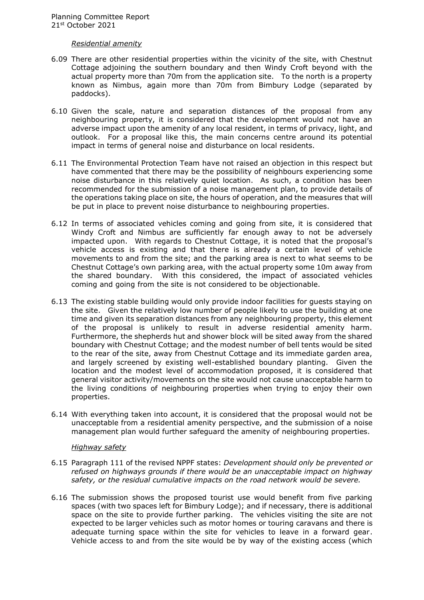## *Residential amenity*

- 6.09 There are other residential properties within the vicinity of the site, with Chestnut Cottage adjoining the southern boundary and then Windy Croft beyond with the actual property more than 70m from the application site. To the north is a property known as Nimbus, again more than 70m from Bimbury Lodge (separated by paddocks).
- 6.10 Given the scale, nature and separation distances of the proposal from any neighbouring property, it is considered that the development would not have an adverse impact upon the amenity of any local resident, in terms of privacy, light, and outlook. For a proposal like this, the main concerns centre around its potential impact in terms of general noise and disturbance on local residents.
- 6.11 The Environmental Protection Team have not raised an objection in this respect but have commented that there may be the possibility of neighbours experiencing some noise disturbance in this relatively quiet location. As such, a condition has been recommended for the submission of a noise management plan, to provide details of the operations taking place on site, the hours of operation, and the measures that will be put in place to prevent noise disturbance to neighbouring properties.
- 6.12 In terms of associated vehicles coming and going from site, it is considered that Windy Croft and Nimbus are sufficiently far enough away to not be adversely impacted upon. With regards to Chestnut Cottage, it is noted that the proposal's vehicle access is existing and that there is already a certain level of vehicle movements to and from the site; and the parking area is next to what seems to be Chestnut Cottage's own parking area, with the actual property some 10m away from the shared boundary. With this considered, the impact of associated vehicles coming and going from the site is not considered to be objectionable.
- 6.13 The existing stable building would only provide indoor facilities for guests staying on the site. Given the relatively low number of people likely to use the building at one time and given its separation distances from any neighbouring property, this element of the proposal is unlikely to result in adverse residential amenity harm. Furthermore, the shepherds hut and shower block will be sited away from the shared boundary with Chestnut Cottage; and the modest number of bell tents would be sited to the rear of the site, away from Chestnut Cottage and its immediate garden area, and largely screened by existing well-established boundary planting. Given the location and the modest level of accommodation proposed, it is considered that general visitor activity/movements on the site would not cause unacceptable harm to the living conditions of neighbouring properties when trying to enjoy their own properties.
- 6.14 With everything taken into account, it is considered that the proposal would not be unacceptable from a residential amenity perspective, and the submission of a noise management plan would further safeguard the amenity of neighbouring properties.

#### *Highway safety*

- 6.15 Paragraph 111 of the revised NPPF states: *Development should only be prevented or refused on highways grounds if there would be an unacceptable impact on highway safety, or the residual cumulative impacts on the road network would be severe.*
- 6.16 The submission shows the proposed tourist use would benefit from five parking spaces (with two spaces left for Bimbury Lodge); and if necessary, there is additional space on the site to provide further parking. The vehicles visiting the site are not expected to be larger vehicles such as motor homes or touring caravans and there is adequate turning space within the site for vehicles to leave in a forward gear. Vehicle access to and from the site would be by way of the existing access (which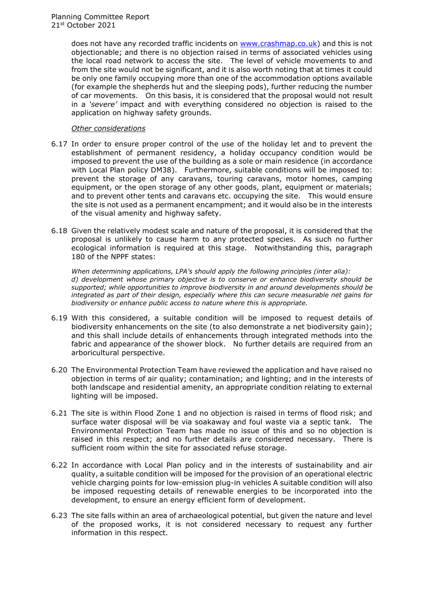does not have any recorded traffic incidents on [www.crashmap.co.uk\)](http://www.crashmap.co.uk/) and this is not objectionable; and there is no objection raised in terms of associated vehicles using the local road network to access the site. The level of vehicle movements to and from the site would not be significant, and it is also worth noting that at times it could be only one family occupying more than one of the accommodation options available (for example the shepherds hut and the sleeping pods), further reducing the number of car movements. On this basis, it is considered that the proposal would not result in a *'severe'* impact and with everything considered no objection is raised to the application on highway safety grounds.

## *Other considerations*

- 6.17 In order to ensure proper control of the use of the holiday let and to prevent the establishment of permanent residency, a holiday occupancy condition would be imposed to prevent the use of the building as a sole or main residence (in accordance with Local Plan policy DM38). Furthermore, suitable conditions will be imposed to: prevent the storage of any caravans, touring caravans, motor homes, camping equipment, or the open storage of any other goods, plant, equipment or materials; and to prevent other tents and caravans etc. occupying the site. This would ensure the site is not used as a permanent encampment; and it would also be in the interests of the visual amenity and highway safety.
- 6.18 Given the relatively modest scale and nature of the proposal, it is considered that the proposal is unlikely to cause harm to any protected species. As such no further ecological information is required at this stage. Notwithstanding this, paragraph 180 of the NPPF states:

*When determining applications, LPA's should apply the following principles (inter alia): d) development whose primary objective is to conserve or enhance biodiversity should be supported; while opportunities to improve biodiversity in and around developments should be integrated as part of their design, especially where this can secure measurable net gains for biodiversity or enhance public access to nature where this is appropriate.* 

- 6.19 With this considered, a suitable condition will be imposed to request details of biodiversity enhancements on the site (to also demonstrate a net biodiversity gain); and this shall include details of enhancements through integrated methods into the fabric and appearance of the shower block. No further details are required from an arboricultural perspective.
- 6.20 The Environmental Protection Team have reviewed the application and have raised no objection in terms of air quality; contamination; and lighting; and in the interests of both landscape and residential amenity, an appropriate condition relating to external lighting will be imposed.
- 6.21 The site is within Flood Zone 1 and no objection is raised in terms of flood risk; and surface water disposal will be via soakaway and foul waste via a septic tank. The Environmental Protection Team has made no issue of this and so no objection is raised in this respect; and no further details are considered necessary. There is sufficient room within the site for associated refuse storage.
- 6.22 In accordance with Local Plan policy and in the interests of sustainability and air quality, a suitable condition will be imposed for the provision of an operational electric vehicle charging points for low-emission plug-in vehicles A suitable condition will also be imposed requesting details of renewable energies to be incorporated into the development, to ensure an energy efficient form of development.
- 6.23 The site falls within an area of archaeological potential, but given the nature and level of the proposed works, it is not considered necessary to request any further information in this respect.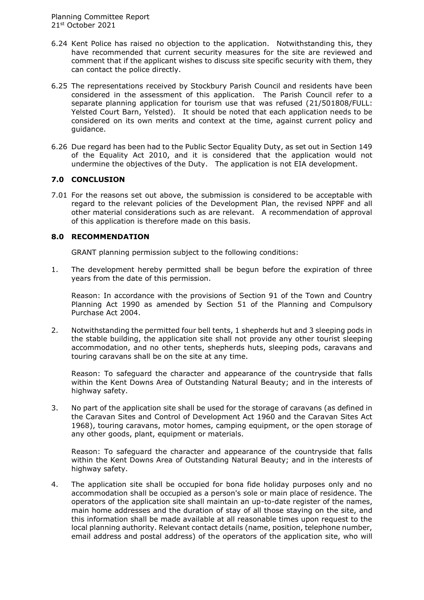- 6.24 Kent Police has raised no objection to the application. Notwithstanding this, they have recommended that current security measures for the site are reviewed and comment that if the applicant wishes to discuss site specific security with them, they can contact the police directly.
- 6.25 The representations received by Stockbury Parish Council and residents have been considered in the assessment of this application. The Parish Council refer to a separate planning application for tourism use that was refused (21/501808/FULL: Yelsted Court Barn, Yelsted). It should be noted that each application needs to be considered on its own merits and context at the time, against current policy and guidance.
- 6.26 Due regard has been had to the Public Sector Equality Duty, as set out in Section 149 of the Equality Act 2010, and it is considered that the application would not undermine the objectives of the Duty. The application is not EIA development.

## **7.0 CONCLUSION**

7.01 For the reasons set out above, the submission is considered to be acceptable with regard to the relevant policies of the Development Plan, the revised NPPF and all other material considerations such as are relevant. A recommendation of approval of this application is therefore made on this basis.

## **8.0 RECOMMENDATION**

GRANT planning permission subject to the following conditions:

1. The development hereby permitted shall be begun before the expiration of three years from the date of this permission.

Reason: In accordance with the provisions of Section 91 of the Town and Country Planning Act 1990 as amended by Section 51 of the Planning and Compulsory Purchase Act 2004.

2. Notwithstanding the permitted four bell tents, 1 shepherds hut and 3 sleeping pods in the stable building, the application site shall not provide any other tourist sleeping accommodation, and no other tents, shepherds huts, sleeping pods, caravans and touring caravans shall be on the site at any time.

Reason: To safeguard the character and appearance of the countryside that falls within the Kent Downs Area of Outstanding Natural Beauty; and in the interests of highway safety.

3. No part of the application site shall be used for the storage of caravans (as defined in the Caravan Sites and Control of Development Act 1960 and the Caravan Sites Act 1968), touring caravans, motor homes, camping equipment, or the open storage of any other goods, plant, equipment or materials.

Reason: To safeguard the character and appearance of the countryside that falls within the Kent Downs Area of Outstanding Natural Beauty; and in the interests of highway safety.

4. The application site shall be occupied for bona fide holiday purposes only and no accommodation shall be occupied as a person's sole or main place of residence. The operators of the application site shall maintain an up-to-date register of the names, main home addresses and the duration of stay of all those staying on the site, and this information shall be made available at all reasonable times upon request to the local planning authority. Relevant contact details (name, position, telephone number, email address and postal address) of the operators of the application site, who will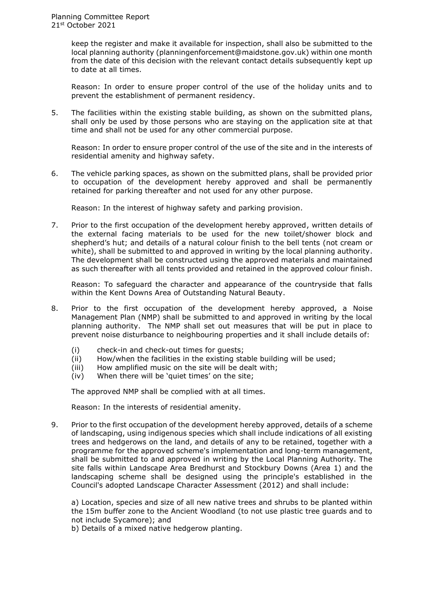keep the register and make it available for inspection, shall also be submitted to the local planning authority (planningenforcement@maidstone.gov.uk) within one month from the date of this decision with the relevant contact details subsequently kept up to date at all times.

Reason: In order to ensure proper control of the use of the holiday units and to prevent the establishment of permanent residency.

5. The facilities within the existing stable building, as shown on the submitted plans, shall only be used by those persons who are staying on the application site at that time and shall not be used for any other commercial purpose.

Reason: In order to ensure proper control of the use of the site and in the interests of residential amenity and highway safety.

6. The vehicle parking spaces, as shown on the submitted plans, shall be provided prior to occupation of the development hereby approved and shall be permanently retained for parking thereafter and not used for any other purpose.

Reason: In the interest of highway safety and parking provision.

7. Prior to the first occupation of the development hereby approved, written details of the external facing materials to be used for the new toilet/shower block and shepherd's hut; and details of a natural colour finish to the bell tents (not cream or white), shall be submitted to and approved in writing by the local planning authority. The development shall be constructed using the approved materials and maintained as such thereafter with all tents provided and retained in the approved colour finish.

Reason: To safeguard the character and appearance of the countryside that falls within the Kent Downs Area of Outstanding Natural Beauty.

- 8. Prior to the first occupation of the development hereby approved, a Noise Management Plan (NMP) shall be submitted to and approved in writing by the local planning authority. The NMP shall set out measures that will be put in place to prevent noise disturbance to neighbouring properties and it shall include details of:
	- (i) check-in and check-out times for guests;
	- (ii) How/when the facilities in the existing stable building will be used;
	- (iii) How amplified music on the site will be dealt with;
	- (iv) When there will be 'quiet times' on the site;

The approved NMP shall be complied with at all times.

Reason: In the interests of residential amenity.

9. Prior to the first occupation of the development hereby approved, details of a scheme of landscaping, using indigenous species which shall include indications of all existing trees and hedgerows on the land, and details of any to be retained, together with a programme for the approved scheme's implementation and long-term management, shall be submitted to and approved in writing by the Local Planning Authority. The site falls within Landscape Area Bredhurst and Stockbury Downs (Area 1) and the landscaping scheme shall be designed using the principle's established in the Council's adopted Landscape Character Assessment (2012) and shall include:

a) Location, species and size of all new native trees and shrubs to be planted within the 15m buffer zone to the Ancient Woodland (to not use plastic tree guards and to not include Sycamore); and

b) Details of a mixed native hedgerow planting.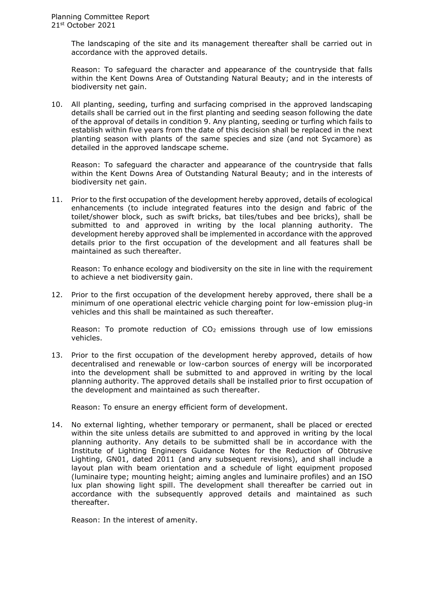The landscaping of the site and its management thereafter shall be carried out in accordance with the approved details.

Reason: To safeguard the character and appearance of the countryside that falls within the Kent Downs Area of Outstanding Natural Beauty; and in the interests of biodiversity net gain.

10. All planting, seeding, turfing and surfacing comprised in the approved landscaping details shall be carried out in the first planting and seeding season following the date of the approval of details in condition 9. Any planting, seeding or turfing which fails to establish within five years from the date of this decision shall be replaced in the next planting season with plants of the same species and size (and not Sycamore) as detailed in the approved landscape scheme.

Reason: To safeguard the character and appearance of the countryside that falls within the Kent Downs Area of Outstanding Natural Beauty; and in the interests of biodiversity net gain.

11. Prior to the first occupation of the development hereby approved, details of ecological enhancements (to include integrated features into the design and fabric of the toilet/shower block, such as swift bricks, bat tiles/tubes and bee bricks), shall be submitted to and approved in writing by the local planning authority. The development hereby approved shall be implemented in accordance with the approved details prior to the first occupation of the development and all features shall be maintained as such thereafter.

Reason: To enhance ecology and biodiversity on the site in line with the requirement to achieve a net biodiversity gain.

12. Prior to the first occupation of the development hereby approved, there shall be a minimum of one operational electric vehicle charging point for low-emission plug-in vehicles and this shall be maintained as such thereafter.

Reason: To promote reduction of  $CO<sub>2</sub>$  emissions through use of low emissions vehicles.

13. Prior to the first occupation of the development hereby approved, details of how decentralised and renewable or low-carbon sources of energy will be incorporated into the development shall be submitted to and approved in writing by the local planning authority. The approved details shall be installed prior to first occupation of the development and maintained as such thereafter.

Reason: To ensure an energy efficient form of development.

14. No external lighting, whether temporary or permanent, shall be placed or erected within the site unless details are submitted to and approved in writing by the local planning authority. Any details to be submitted shall be in accordance with the Institute of Lighting Engineers Guidance Notes for the Reduction of Obtrusive Lighting, GN01, dated 2011 (and any subsequent revisions), and shall include a layout plan with beam orientation and a schedule of light equipment proposed (luminaire type; mounting height; aiming angles and luminaire profiles) and an ISO lux plan showing light spill. The development shall thereafter be carried out in accordance with the subsequently approved details and maintained as such thereafter.

Reason: In the interest of amenity.